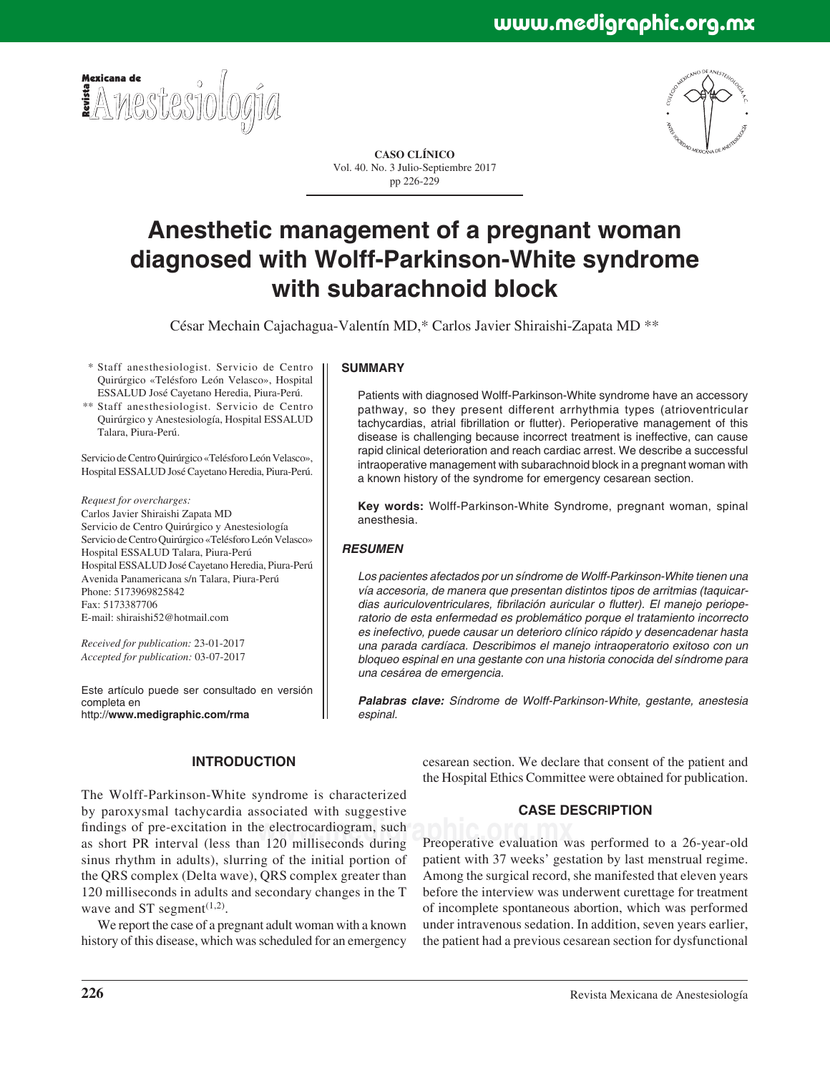



**CASO CLÍNICO** Vol. 40. No. 3 Julio-Septiembre 2017 pp 226-229

# **Anesthetic management of a pregnant woman diagnosed with Wolff-Parkinson-White syndrome with subarachnoid block**

César Mechain Cajachagua-Valentín MD,\* Carlos Javier Shiraishi-Zapata MD \*\*

 \* Staff anesthesiologist. Servicio de Centro Quirúrgico «Telésforo León Velasco», Hospital ESSALUD José Cayetano Heredia, Piura-Perú.

 \*\* Staff anesthesiologist. Servicio de Centro Quirúrgico y Anestesiología, Hospital ESSALUD Talara, Piura-Perú.

Servicio de Centro Quirúrgico «Telésforo León Velasco», Hospital ESSALUD José Cayetano Heredia, Piura-Perú.

*Request for overcharges:* Carlos Javier Shiraishi Zapata MD Servicio de Centro Quirúrgico y Anestesiología Servicio de Centro Quirúrgico «Telésforo León Velasco» Hospital ESSALUD Talara, Piura-Perú Hospital ESSALUD José Cayetano Heredia, Piura-Perú Avenida Panamericana s/n Talara, Piura-Perú Phone: 5173969825842 Fax: 5173387706 E-mail: shiraishi52@hotmail.com

*Received for publication:* 23-01-2017 *Accepted for publication:* 03-07-2017

Este artículo puede ser consultado en versión completa en http://**www.medigraphic.com/rma**

#### **SUMMARY**

Patients with diagnosed Wolff-Parkinson-White syndrome have an accessory pathway, so they present different arrhythmia types (atrioventricular tachycardias, atrial fibrillation or flutter). Perioperative management of this disease is challenging because incorrect treatment is ineffective, can cause rapid clinical deterioration and reach cardiac arrest. We describe a successful intraoperative management with subarachnoid block in a pregnant woman with a known history of the syndrome for emergency cesarean section.

**Key words:** Wolff-Parkinson-White Syndrome, pregnant woman, spinal anesthesia.

# *RESUMEN*

*Los pacientes afectados por un síndrome de Wolff-Parkinson-White tienen una vía accesoria, de manera que presentan distintos tipos de arritmias (taquicar*dias auriculoventriculares, fibrilación auricular o flutter). El manejo periope*ratorio de esta enfermedad es problemático porque el tratamiento incorrecto es inefectivo, puede causar un deterioro clínico rápido y desencadenar hasta una parada cardíaca. Describimos el manejo intraoperatorio exitoso con un bloqueo espinal en una gestante con una historia conocida del síndrome para una cesárea de emergencia.*

*Palabras clave: Síndrome de Wolff-Parkinson-White, gestante, anestesia espinal.*

# **INTRODUCTION**

findings of pre-excitation in the electrocardiogram, such<br>as short PR interval (less than 120 milliseconds during Preoperative evaluation w The Wolff-Parkinson-White syndrome is characterized by paroxysmal tachycardia associated with suggestive as short PR interval (less than 120 milliseconds during sinus rhythm in adults), slurring of the initial portion of the QRS complex (Delta wave), QRS complex greater than 120 milliseconds in adults and secondary changes in the T wave and ST segment $(1,2)$ .

We report the case of a pregnant adult woman with a known history of this disease, which was scheduled for an emergency

cesarean section. We declare that consent of the patient and the Hospital Ethics Committee were obtained for publication.

# **CASE DESCRIPTION**

Preoperative evaluation was performed to a 26-year-old patient with 37 weeks' gestation by last menstrual regime. Among the surgical record, she manifested that eleven years before the interview was underwent curettage for treatment of incomplete spontaneous abortion, which was performed under intravenous sedation. In addition, seven years earlier, the patient had a previous cesarean section for dysfunctional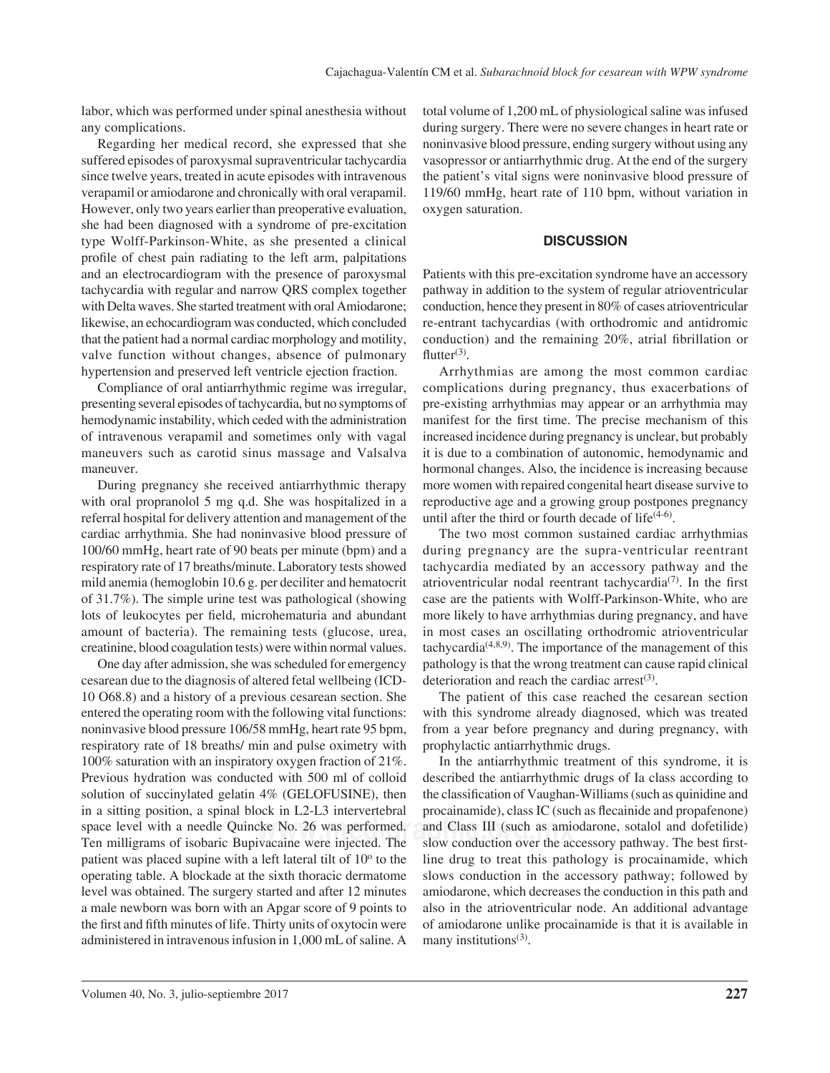labor, which was performed under spinal anesthesia without any complications.

Regarding her medical record, she expressed that she suffered episodes of paroxysmal supraventricular tachycardia since twelve years, treated in acute episodes with intravenous verapamil or amiodarone and chronically with oral verapamil. However, only two years earlier than preoperative evaluation, she had been diagnosed with a syndrome of pre-excitation type Wolff-Parkinson-White, as she presented a clinical profile of chest pain radiating to the left arm, palpitations and an electrocardiogram with the presence of paroxysmal tachycardia with regular and narrow QRS complex together with Delta waves. She started treatment with oral Amiodarone; likewise, an echocardiogram was conducted, which concluded that the patient had a normal cardiac morphology and motility, valve function without changes, absence of pulmonary hypertension and preserved left ventricle ejection fraction.

Compliance of oral antiarrhythmic regime was irregular, presenting several episodes of tachycardia, but no symptoms of hemodynamic instability, which ceded with the administration of intravenous verapamil and sometimes only with vagal maneuvers such as carotid sinus massage and Valsalva maneuver.

During pregnancy she received antiarrhythmic therapy with oral propranolol 5 mg q.d. She was hospitalized in a referral hospital for delivery attention and management of the cardiac arrhythmia. She had noninvasive blood pressure of 100/60 mmHg, heart rate of 90 beats per minute (bpm) and a respiratory rate of 17 breaths/minute. Laboratory tests showed mild anemia (hemoglobin 10.6 g. per deciliter and hematocrit of 31.7%). The simple urine test was pathological (showing lots of leukocytes per field, microhematuria and abundant amount of bacteria). The remaining tests (glucose, urea, creatinine, blood coagulation tests) were within normal values.

space level with a needle Quincke No. 26 was performed. and Class III (such as amidstand The new conduction over the action of isobaric Bunivacaine were injected. The slow conduction over the action One day after admission, she was scheduled for emergency cesarean due to the diagnosis of altered fetal wellbeing (ICD-10 O68.8) and a history of a previous cesarean section. She entered the operating room with the following vital functions: noninvasive blood pressure 106/58 mmHg, heart rate 95 bpm, respiratory rate of 18 breaths/ min and pulse oximetry with 100% saturation with an inspiratory oxygen fraction of 21%. Previous hydration was conducted with 500 ml of colloid solution of succinylated gelatin 4% (GELOFUSINE), then in a sitting position, a spinal block in L2-L3 intervertebral Ten milligrams of isobaric Bupivacaine were injected. The patient was placed supine with a left lateral tilt of  $10<sup>o</sup>$  to the operating table. A blockade at the sixth thoracic dermatome level was obtained. The surgery started and after 12 minutes a male newborn was born with an Apgar score of 9 points to the first and fifth minutes of life. Thirty units of oxytocin were administered in intravenous infusion in 1,000 mL of saline. A

total volume of 1,200 mL of physiological saline was infused during surgery. There were no severe changes in heart rate or noninvasive blood pressure, ending surgery without using any vasopressor or antiarrhythmic drug. At the end of the surgery the patient's vital signs were noninvasive blood pressure of 119/60 mmHg, heart rate of 110 bpm, without variation in oxygen saturation.

#### **DISCUSSION**

Patients with this pre-excitation syndrome have an accessory pathway in addition to the system of regular atrioventricular conduction, hence they present in 80% of cases atrioventricular re-entrant tachycardias (with orthodromic and antidromic conduction) and the remaining  $20\%$ , atrial fibrillation or flutter $(3)$ .

Arrhythmias are among the most common cardiac complications during pregnancy, thus exacerbations of pre-existing arrhythmias may appear or an arrhythmia may manifest for the first time. The precise mechanism of this increased incidence during pregnancy is unclear, but probably it is due to a combination of autonomic, hemodynamic and hormonal changes. Also, the incidence is increasing because more women with repaired congenital heart disease survive to reproductive age and a growing group postpones pregnancy until after the third or fourth decade of life $(4-6)$ .

The two most common sustained cardiac arrhythmias during pregnancy are the supra-ventricular reentrant tachycardia mediated by an accessory pathway and the atrioventricular nodal reentrant tachycardia<sup>(7)</sup>. In the first case are the patients with Wolff-Parkinson-White, who are more likely to have arrhythmias during pregnancy, and have in most cases an oscillating orthodromic atrioventricular tachycardia<sup> $(4,8,9)$ </sup>. The importance of the management of this pathology is that the wrong treatment can cause rapid clinical deterioration and reach the cardiac arrest $(3)$ .

The patient of this case reached the cesarean section with this syndrome already diagnosed, which was treated from a year before pregnancy and during pregnancy, with prophylactic antiarrhythmic drugs.

In the antiarrhythmic treatment of this syndrome, it is described the antiarrhythmic drugs of Ia class according to the classification of Vaughan-Williams (such as quinidine and procainamide), class IC (such as flecainide and propafenone) and Class III (such as amiodarone, sotalol and dofetilide) slow conduction over the accessory pathway. The best firstline drug to treat this pathology is procainamide, which slows conduction in the accessory pathway; followed by amiodarone, which decreases the conduction in this path and also in the atrioventricular node. An additional advantage of amiodarone unlike procainamide is that it is available in many institutions $(3)$ .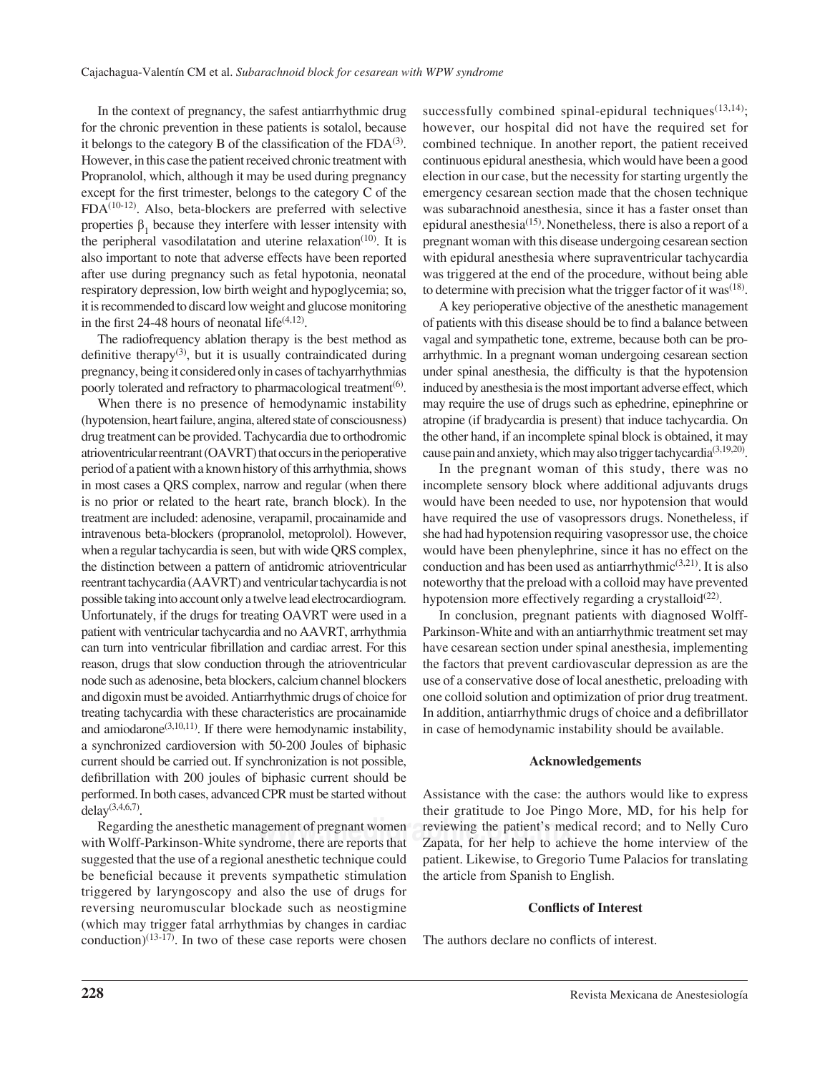In the context of pregnancy, the safest antiarrhythmic drug for the chronic prevention in these patients is sotalol, because it belongs to the category B of the classification of the  $FDA^{(3)}$ . However, in this case the patient received chronic treatment with Propranolol, which, although it may be used during pregnancy except for the first trimester, belongs to the category  $C$  of the  $FDA<sup>(10-12)</sup>$ . Also, beta-blockers are preferred with selective properties  $\beta_1$  because they interfere with lesser intensity with the peripheral vasodilatation and uterine relaxation<sup>(10)</sup>. It is also important to note that adverse effects have been reported after use during pregnancy such as fetal hypotonia, neonatal respiratory depression, low birth weight and hypoglycemia; so, it is recommended to discard low weight and glucose monitoring in the first 24-48 hours of neonatal life $(4,12)$ .

The radiofrequency ablation therapy is the best method as definitive therapy<sup>(3)</sup>, but it is usually contraindicated during pregnancy, being it considered only in cases of tachyarrhythmias poorly tolerated and refractory to pharmacological treatment<sup>(6)</sup>.

When there is no presence of hemodynamic instability (hypotension, heart failure, angina, altered state of consciousness) drug treatment can be provided. Tachycardia due to orthodromic atrioventricular reentrant (OAVRT) that occurs in the perioperative period of a patient with a known history of this arrhythmia, shows in most cases a QRS complex, narrow and regular (when there is no prior or related to the heart rate, branch block). In the treatment are included: adenosine, verapamil, procainamide and intravenous beta-blockers (propranolol, metoprolol). However, when a regular tachycardia is seen, but with wide QRS complex, the distinction between a pattern of antidromic atrioventricular reentrant tachycardia (AAVRT) and ventricular tachycardia is not possible taking into account only a twelve lead electrocardiogram. Unfortunately, if the drugs for treating OAVRT were used in a patient with ventricular tachycardia and no AAVRT, arrhythmia can turn into ventricular fibrillation and cardiac arrest. For this reason, drugs that slow conduction through the atrioventricular node such as adenosine, beta blockers, calcium channel blockers and digoxin must be avoided. Antiarrhythmic drugs of choice for treating tachycardia with these characteristics are procainamide and amiodarone<sup> $(3,10,11)$ </sup>. If there were hemodynamic instability, a synchronized cardioversion with 50-200 Joules of biphasic current should be carried out. If synchronization is not possible, defibrillation with 200 joules of biphasic current should be performed. In both cases, advanced CPR must be started without delay $(3,4,6,7)$ .

Regarding the anesthetic management of pregnant women with Wolff-Parkinson-White syndrome, there are reports that suggested that the use of a regional anesthetic technique could be beneficial because it prevents sympathetic stimulation triggered by laryngoscopy and also the use of drugs for reversing neuromuscular blockade such as neostigmine (which may trigger fatal arrhythmias by changes in cardiac conduction)<sup>(13-17)</sup>. In two of these case reports were chosen

successfully combined spinal-epidural techniques<sup> $(13,14)$ </sup>; however, our hospital did not have the required set for combined technique. In another report, the patient received continuous epidural anesthesia, which would have been a good election in our case, but the necessity for starting urgently the emergency cesarean section made that the chosen technique was subarachnoid anesthesia, since it has a faster onset than epidural anesthesia<sup>(15)</sup>. Nonetheless, there is also a report of a pregnant woman with this disease undergoing cesarean section with epidural anesthesia where supraventricular tachycardia was triggered at the end of the procedure, without being able to determine with precision what the trigger factor of it was<sup> $(18)$ </sup>.

A key perioperative objective of the anesthetic management of patients with this disease should be to find a balance between vagal and sympathetic tone, extreme, because both can be proarrhythmic. In a pregnant woman undergoing cesarean section under spinal anesthesia, the difficulty is that the hypotension induced by anesthesia is the most important adverse effect, which may require the use of drugs such as ephedrine, epinephrine or atropine (if bradycardia is present) that induce tachycardia. On the other hand, if an incomplete spinal block is obtained, it may cause pain and anxiety, which may also trigger tachycardia<sup>(3,19,20)</sup>.

In the pregnant woman of this study, there was no incomplete sensory block where additional adjuvants drugs would have been needed to use, nor hypotension that would have required the use of vasopressors drugs. Nonetheless, if she had had hypotension requiring vasopressor use, the choice would have been phenylephrine, since it has no effect on the conduction and has been used as antiarrhythmic $(3,21)$ . It is also noteworthy that the preload with a colloid may have prevented hypotension more effectively regarding a crystalloid $(22)$ .

In conclusion, pregnant patients with diagnosed Wolff-Parkinson-White and with an antiarrhythmic treatment set may have cesarean section under spinal anesthesia, implementing the factors that prevent cardiovascular depression as are the use of a conservative dose of local anesthetic, preloading with one colloid solution and optimization of prior drug treatment. In addition, antiarrhythmic drugs of choice and a defibrillator in case of hemodynamic instability should be available.

#### **Acknowledgements**

**reviewing the patient's medical record; and to Nelly Curo**<br>drome there are reports that **Zanata** for her help to achieve the home interview of the Assistance with the case: the authors would like to express their gratitude to Joe Pingo More, MD, for his help for Zapata, for her help to achieve the home interview of the patient. Likewise, to Gregorio Tume Palacios for translating the article from Spanish to English.

#### **Conflicts of Interest**

The authors declare no conflicts of interest.